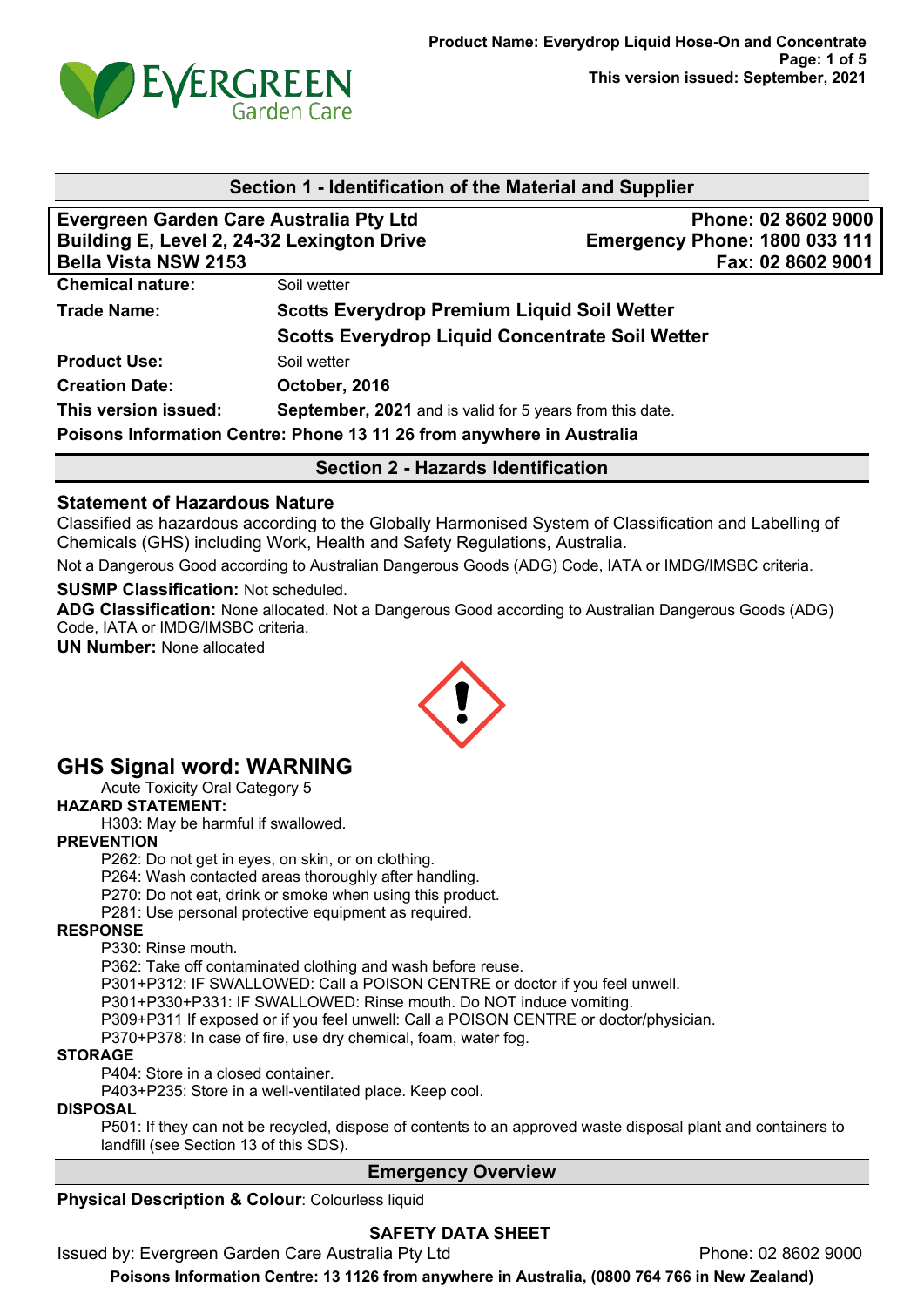

| Section 1 - Identification of the Material and Supplier                                                              |                                                          |                                                                                  |  |  |
|----------------------------------------------------------------------------------------------------------------------|----------------------------------------------------------|----------------------------------------------------------------------------------|--|--|
| Evergreen Garden Care Australia Pty Ltd<br>Building E, Level 2, 24-32 Lexington Drive<br><b>Bella Vista NSW 2153</b> |                                                          | Phone: 02 8602 9000<br><b>Emergency Phone: 1800 033 111</b><br>Fax: 02 8602 9001 |  |  |
| <b>Chemical nature:</b>                                                                                              | Soil wetter                                              |                                                                                  |  |  |
| <b>Trade Name:</b>                                                                                                   | <b>Scotts Everydrop Premium Liquid Soil Wetter</b>       |                                                                                  |  |  |
|                                                                                                                      | <b>Scotts Everydrop Liquid Concentrate Soil Wetter</b>   |                                                                                  |  |  |
| <b>Product Use:</b>                                                                                                  | Soil wetter                                              |                                                                                  |  |  |
| <b>Creation Date:</b>                                                                                                | October, 2016                                            |                                                                                  |  |  |
| This version issued:                                                                                                 | September, 2021 and is valid for 5 years from this date. |                                                                                  |  |  |
| Poisons Information Centre: Phone 13 11 26 from anywhere in Australia                                                |                                                          |                                                                                  |  |  |

### **Section 2 - Hazards Identification**

#### **Statement of Hazardous Nature**

Classified as hazardous according to the Globally Harmonised System of Classification and Labelling of Chemicals (GHS) including Work, Health and Safety Regulations, Australia.

Not a Dangerous Good according to Australian Dangerous Goods (ADG) Code, IATA or IMDG/IMSBC criteria.

**SUSMP Classification:** Not scheduled.

**ADG Classification:** None allocated. Not a Dangerous Good according to Australian Dangerous Goods (ADG) Code, IATA or IMDG/IMSBC criteria.

**UN Number:** None allocated



# **GHS Signal word: WARNING**

Acute Toxicity Oral Category 5

#### **HAZARD STATEMENT:**

H303: May be harmful if swallowed.

#### **PREVENTION**

P262: Do not get in eyes, on skin, or on clothing.

P264: Wash contacted areas thoroughly after handling.

- P270: Do not eat, drink or smoke when using this product.
- P281: Use personal protective equipment as required.

#### **RESPONSE**

P330: Rinse mouth.

P362: Take off contaminated clothing and wash before reuse.

P301+P312: IF SWALLOWED: Call a POISON CENTRE or doctor if you feel unwell.

P301+P330+P331: IF SWALLOWED: Rinse mouth. Do NOT induce vomiting.

P309+P311 If exposed or if you feel unwell: Call a POISON CENTRE or doctor/physician.

P370+P378: In case of fire, use dry chemical, foam, water fog.

#### **STORAGE**

P404: Store in a closed container.

P403+P235: Store in a well-ventilated place. Keep cool.

**DISPOSAL**

P501: If they can not be recycled, dispose of contents to an approved waste disposal plant and containers to landfill (see Section 13 of this SDS).

#### **Emergency Overview**

**Physical Description & Colour: Colourless liquid** 

## **SAFETY DATA SHEET**

Issued by: Evergreen Garden Care Australia Pty Ltd **Phone: 02 8602 9000**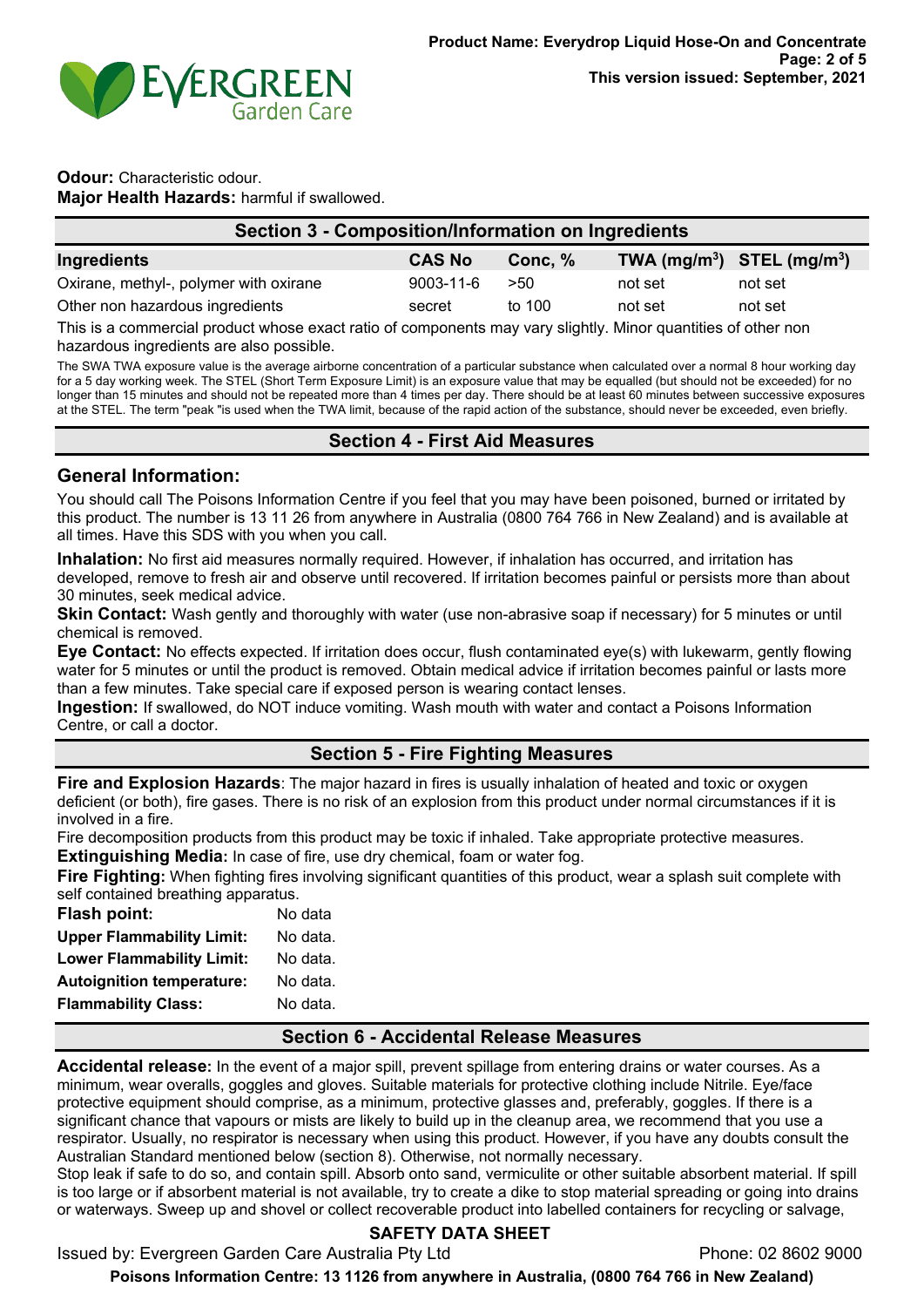

#### **Odour:** Characteristic odour. **Major Health Hazards:** harmful if swallowed.

| Section 3 - Composition/Information on Ingredients |               |           |                                |         |
|----------------------------------------------------|---------------|-----------|--------------------------------|---------|
| Ingredients                                        | <b>CAS No</b> | Conc. $%$ | TWA $(mg/m^3)$ STEL $(mg/m^3)$ |         |
| Oxirane, methyl-, polymer with oxirane             | 9003-11-6     | >50       | not set                        | not set |
| Other non hazardous ingredients                    | secret        | to 100    | not set                        | not set |

This is a commercial product whose exact ratio of components may vary slightly. Minor quantities of other non hazardous ingredients are also possible.

The SWA TWA exposure value is the average airborne concentration of a particular substance when calculated over a normal 8 hour working day for a 5 day working week. The STEL (Short Term Exposure Limit) is an exposure value that may be equalled (but should not be exceeded) for no longer than 15 minutes and should not be repeated more than 4 times per day. There should be at least 60 minutes between successive exposures at the STEL. The term "peak "is used when the TWA limit, because of the rapid action of the substance, should never be exceeded, even briefly.

### **Section 4 - First Aid Measures**

### **General Information:**

You should call The Poisons Information Centre if you feel that you may have been poisoned, burned or irritated by this product. The number is 13 11 26 from anywhere in Australia (0800 764 766 in New Zealand) and is available at all times. Have this SDS with you when you call.

**Inhalation:** No first aid measures normally required. However, if inhalation has occurred, and irritation has developed, remove to fresh air and observe until recovered. If irritation becomes painful or persists more than about 30 minutes, seek medical advice.

**Skin Contact:** Wash gently and thoroughly with water (use non-abrasive soap if necessary) for 5 minutes or until chemical is removed.

**Eye Contact:** No effects expected. If irritation does occur, flush contaminated eye(s) with lukewarm, gently flowing water for 5 minutes or until the product is removed. Obtain medical advice if irritation becomes painful or lasts more than a few minutes. Take special care if exposed person is wearing contact lenses.

**Ingestion:** If swallowed, do NOT induce vomiting. Wash mouth with water and contact a Poisons Information Centre, or call a doctor.

## **Section 5 - Fire Fighting Measures**

**Fire and Explosion Hazards**: The major hazard in fires is usually inhalation of heated and toxic or oxygen deficient (or both), fire gases. There is no risk of an explosion from this product under normal circumstances if it is involved in a fire.

Fire decomposition products from this product may be toxic if inhaled. Take appropriate protective measures.

**Extinguishing Media:** In case of fire, use dry chemical, foam or water fog.

**Fire Fighting:** When fighting fires involving significant quantities of this product, wear a splash suit complete with self contained breathing apparatus.

| <b>Flash point:</b>              | No data  |
|----------------------------------|----------|
| <b>Upper Flammability Limit:</b> | No data. |
| <b>Lower Flammability Limit:</b> | No data. |
| <b>Autoignition temperature:</b> | No data. |
| <b>Flammability Class:</b>       | No data. |
|                                  |          |

## **Section 6 - Accidental Release Measures**

**Accidental release:** In the event of a major spill, prevent spillage from entering drains or water courses. As a minimum, wear overalls, goggles and gloves. Suitable materials for protective clothing include Nitrile. Eye/face protective equipment should comprise, as a minimum, protective glasses and, preferably, goggles. If there is a significant chance that vapours or mists are likely to build up in the cleanup area, we recommend that you use a respirator. Usually, no respirator is necessary when using this product. However, if you have any doubts consult the Australian Standard mentioned below (section 8). Otherwise, not normally necessary.

Stop leak if safe to do so, and contain spill. Absorb onto sand, vermiculite or other suitable absorbent material. If spill is too large or if absorbent material is not available, try to create a dike to stop material spreading or going into drains or waterways. Sweep up and shovel or collect recoverable product into labelled containers for recycling or salvage,

## **SAFETY DATA SHEET**

Issued by: Evergreen Garden Care Australia Pty Ltd **Phone: 02 8602 9000**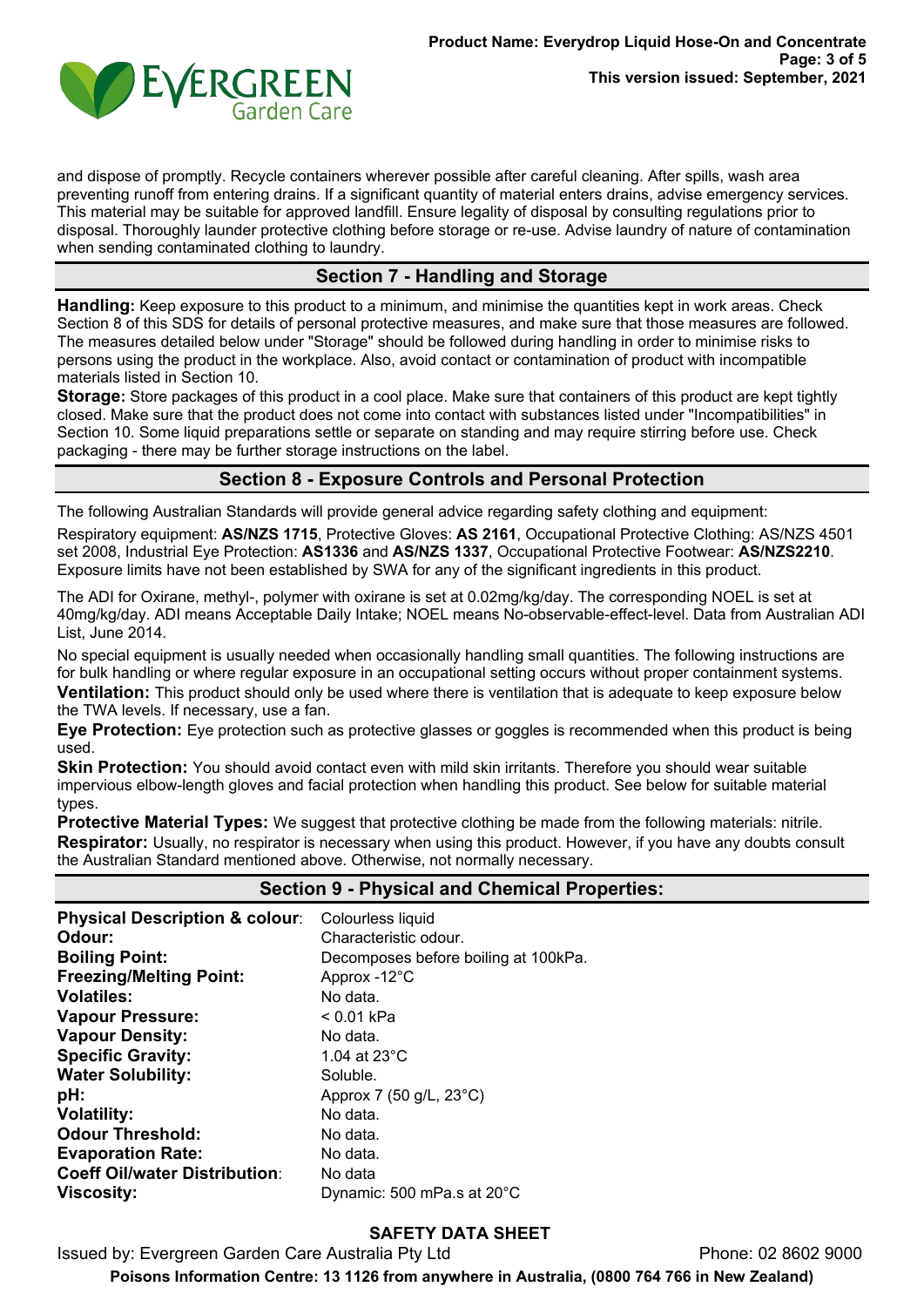

and dispose of promptly. Recycle containers wherever possible after careful cleaning. After spills, wash area preventing runoff from entering drains. If a significant quantity of material enters drains, advise emergency services. This material may be suitable for approved landfill. Ensure legality of disposal by consulting regulations prior to disposal. Thoroughly launder protective clothing before storage or re-use. Advise laundry of nature of contamination when sending contaminated clothing to laundry.

## **Section 7 - Handling and Storage**

**Handling:** Keep exposure to this product to a minimum, and minimise the quantities kept in work areas. Check Section 8 of this SDS for details of personal protective measures, and make sure that those measures are followed. The measures detailed below under "Storage" should be followed during handling in order to minimise risks to persons using the product in the workplace. Also, avoid contact or contamination of product with incompatible materials listed in Section 10.

**Storage:** Store packages of this product in a cool place. Make sure that containers of this product are kept tightly closed. Make sure that the product does not come into contact with substances listed under "Incompatibilities" in Section 10. Some liquid preparations settle or separate on standing and may require stirring before use. Check packaging - there may be further storage instructions on the label.

### **Section 8 - Exposure Controls and Personal Protection**

The following Australian Standards will provide general advice regarding safety clothing and equipment:

Respiratory equipment: **AS/NZS 1715**, Protective Gloves: **AS 2161**, Occupational Protective Clothing: AS/NZS 4501 set 2008, Industrial Eye Protection: **AS1336** and **AS/NZS 1337**, Occupational Protective Footwear: **AS/NZS2210**. Exposure limits have not been established by SWA for any of the significant ingredients in this product.

The ADI for Oxirane, methyl-, polymer with oxirane is set at 0.02mg/kg/day. The corresponding NOEL is set at 40mg/kg/day. ADI means Acceptable Daily Intake; NOEL means No-observable-effect-level. Data from Australian ADI List, June 2014.

No special equipment is usually needed when occasionally handling small quantities. The following instructions are for bulk handling or where regular exposure in an occupational setting occurs without proper containment systems. **Ventilation:** This product should only be used where there is ventilation that is adequate to keep exposure below the TWA levels. If necessary, use a fan.

**Eye Protection:** Eye protection such as protective glasses or goggles is recommended when this product is being used.

**Skin Protection:** You should avoid contact even with mild skin irritants. Therefore you should wear suitable impervious elbow-length gloves and facial protection when handling this product. See below for suitable material types.

**Protective Material Types:** We suggest that protective clothing be made from the following materials: nitrile. **Respirator:** Usually, no respirator is necessary when using this product. However, if you have any doubts consult the Australian Standard mentioned above. Otherwise, not normally necessary.

| <b>Section 9 - Physical and Chemical Properties:</b> |                                      |  |
|------------------------------------------------------|--------------------------------------|--|
| <b>Physical Description &amp; colour:</b>            | Colourless liquid                    |  |
| Odour:                                               | Characteristic odour.                |  |
| <b>Boiling Point:</b>                                | Decomposes before boiling at 100kPa. |  |
| <b>Freezing/Melting Point:</b>                       | Approx -12°C                         |  |
| <b>Volatiles:</b>                                    | No data.                             |  |
| <b>Vapour Pressure:</b>                              | $< 0.01$ kPa                         |  |
| <b>Vapour Density:</b>                               | No data.                             |  |
| <b>Specific Gravity:</b>                             | 1.04 at $23^{\circ}$ C               |  |
| <b>Water Solubility:</b>                             | Soluble.                             |  |
| pH:                                                  | Approx 7 (50 g/L, 23°C)              |  |
| <b>Volatility:</b>                                   | No data.                             |  |
| <b>Odour Threshold:</b>                              | No data.                             |  |
| <b>Evaporation Rate:</b>                             | No data.                             |  |
| <b>Coeff Oil/water Distribution:</b>                 | No data                              |  |
| <b>Viscosity:</b>                                    | Dynamic: 500 mPa.s at 20°C           |  |

#### **SAFETY DATA SHEET**

Issued by: Evergreen Garden Care Australia Pty Ltd **Phone: 02 8602 9000**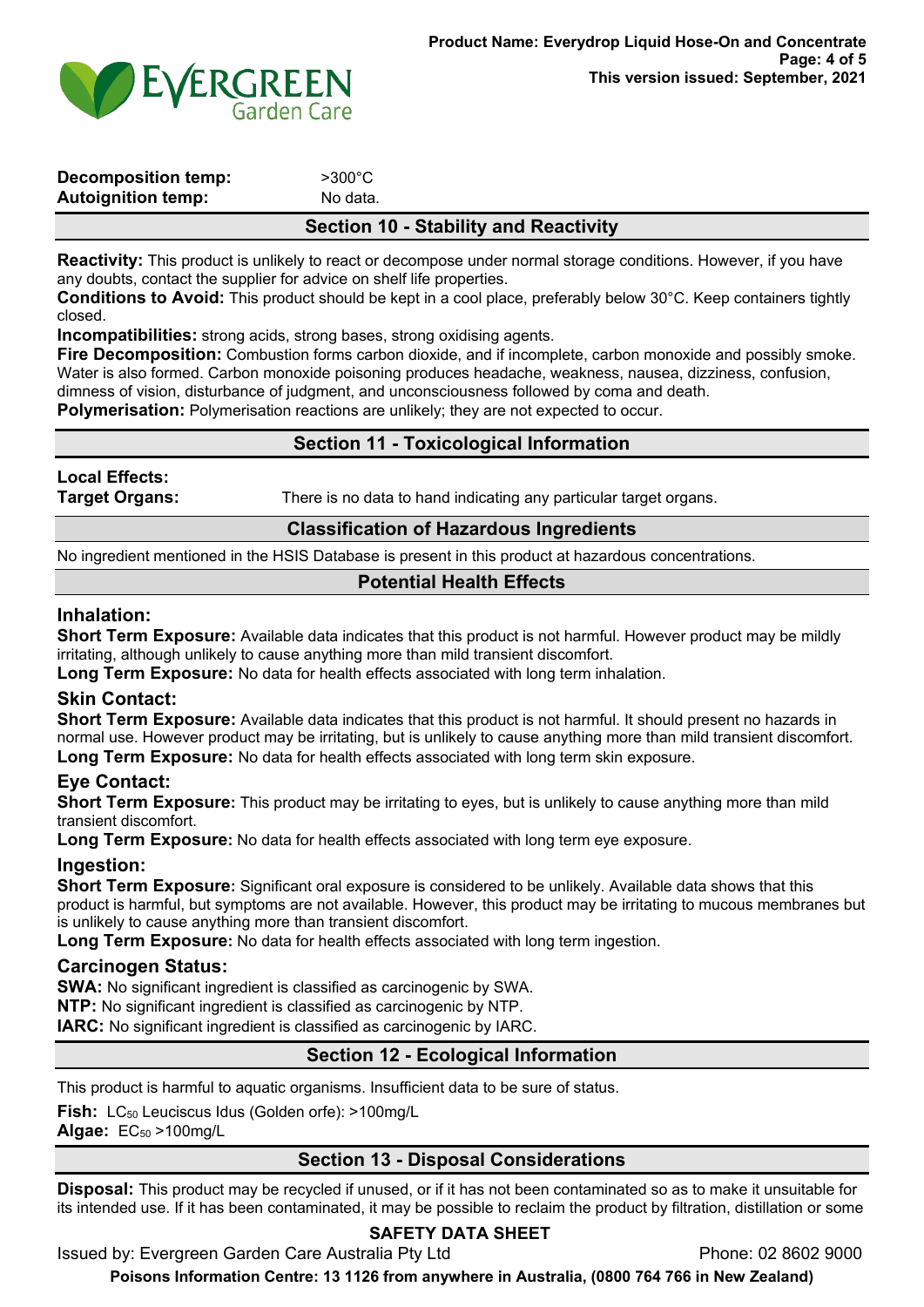

| <b>Decomposition temp:</b> | $>300^{\circ}$ C |
|----------------------------|------------------|
| Autoignition temp:         | No data.         |
|                            |                  |

## **Section 10 - Stability and Reactivity**

**Reactivity:** This product is unlikely to react or decompose under normal storage conditions. However, if you have any doubts, contact the supplier for advice on shelf life properties.

**Conditions to Avoid:** This product should be kept in a cool place, preferably below 30°C. Keep containers tightly closed.

**Incompatibilities:** strong acids, strong bases, strong oxidising agents.

**Fire Decomposition:** Combustion forms carbon dioxide, and if incomplete, carbon monoxide and possibly smoke. Water is also formed. Carbon monoxide poisoning produces headache, weakness, nausea, dizziness, confusion, dimness of vision, disturbance of judgment, and unconsciousness followed by coma and death.

**Polymerisation:** Polymerisation reactions are unlikely; they are not expected to occur.

## **Section 11 - Toxicological Information**

### **Local Effects:**

**Target Organs:** There is no data to hand indicating any particular target organs.

### **Classification of Hazardous Ingredients**

No ingredient mentioned in the HSIS Database is present in this product at hazardous concentrations.

## **Potential Health Effects**

#### **Inhalation:**

**Short Term Exposure:** Available data indicates that this product is not harmful. However product may be mildly irritating, although unlikely to cause anything more than mild transient discomfort.

**Long Term Exposure:** No data for health effects associated with long term inhalation.

#### **Skin Contact:**

**Short Term Exposure:** Available data indicates that this product is not harmful. It should present no hazards in normal use. However product may be irritating, but is unlikely to cause anything more than mild transient discomfort. **Long Term Exposure:** No data for health effects associated with long term skin exposure.

#### **Eye Contact:**

**Short Term Exposure:** This product may be irritating to eyes, but is unlikely to cause anything more than mild transient discomfort.

**Long Term Exposure:** No data for health effects associated with long term eye exposure.

#### **Ingestion:**

**Short Term Exposure:** Significant oral exposure is considered to be unlikely. Available data shows that this product is harmful, but symptoms are not available. However, this product may be irritating to mucous membranes but is unlikely to cause anything more than transient discomfort.

**Long Term Exposure:** No data for health effects associated with long term ingestion.

#### **Carcinogen Status:**

**SWA:** No significant ingredient is classified as carcinogenic by SWA.

**NTP:** No significant ingredient is classified as carcinogenic by NTP.

**IARC:** No significant ingredient is classified as carcinogenic by IARC.

## **Section 12 - Ecological Information**

This product is harmful to aquatic organisms. Insufficient data to be sure of status.

Fish: LC<sub>50</sub> Leuciscus Idus (Golden orfe): >100mg/L

**Algae:** EC<sub>50</sub> > 100mg/L

## **Section 13 - Disposal Considerations**

**Disposal:** This product may be recycled if unused, or if it has not been contaminated so as to make it unsuitable for its intended use. If it has been contaminated, it may be possible to reclaim the product by filtration, distillation or some

## **SAFETY DATA SHEET**

Issued by: Evergreen Garden Care Australia Pty Ltd **Phone: 02 8602 9000**